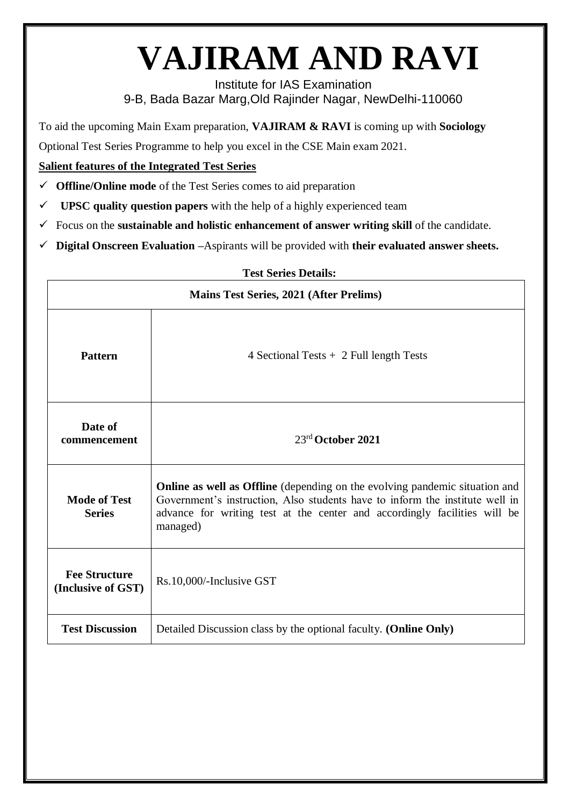# **VAJIRAM AND RAVI**

Institute for IAS Examination 9-B, Bada Bazar Marg,Old Rajinder Nagar, NewDelhi-110060

To aid the upcoming Main Exam preparation, **VAJIRAM & RAVI** is coming up with **Sociology**

Optional Test Series Programme to help you excel in the CSE Main exam 2021.

### **Salient features of the Integrated Test Series**

- **Offline/Online mode** of the Test Series comes to aid preparation
- $\checkmark$  **UPSC quality question papers** with the help of a highly experienced team
- $\checkmark$  Focus on the **sustainable and holistic enhancement of answer writing skill** of the candidate.
- **Digital Onscreen Evaluation –**Aspirants will be provided with **their evaluated answer sheets.**

#### **Test Series Details:**

| <b>Mains Test Series, 2021 (After Prelims)</b> |                                                                                                                                                                                                                                                      |  |  |  |
|------------------------------------------------|------------------------------------------------------------------------------------------------------------------------------------------------------------------------------------------------------------------------------------------------------|--|--|--|
| <b>Pattern</b>                                 | 4 Sectional Tests $+$ 2 Full length Tests                                                                                                                                                                                                            |  |  |  |
| Date of<br>commencement                        | $23rd$ October 2021                                                                                                                                                                                                                                  |  |  |  |
| <b>Mode of Test</b><br><b>Series</b>           | Online as well as Offline (depending on the evolving pandemic situation and<br>Government's instruction, Also students have to inform the institute well in<br>advance for writing test at the center and accordingly facilities will be<br>managed) |  |  |  |
| <b>Fee Structure</b><br>(Inclusive of GST)     | Rs.10,000/-Inclusive GST                                                                                                                                                                                                                             |  |  |  |
| <b>Test Discussion</b>                         | Detailed Discussion class by the optional faculty. (Online Only)                                                                                                                                                                                     |  |  |  |